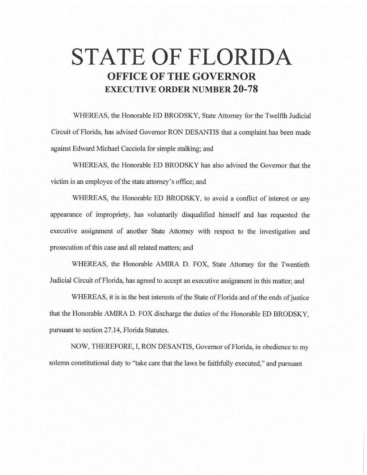## **STATE OF FLORIDA OFFICE OF THE GOVERNOR EXECUTIVE ORDER NUMBER 20-78**

WHEREAS, the Honorable ED BRODSKY, State Attorney for the Twelfth Judicial Circuit of Florida, has advised Governor RON DESANTIS that a complaint has been made against Edward Michael Cacciola for simple stalking; and

WHEREAS, the Honorable ED BRODSKY has also advised the Governor that the victim is an employee of the state attorney's office; and

WHEREAS, the Honorable ED BRODSKY, to avoid a conflict of interest or any appearance of impropriety, has voluntarily disqualified himself and has requested the executive assignment of another State Attorney with respect to the investigation and prosecution of this case and all related matters; and

WHEREAS, the Honorable AMIRA D. FOX, State Attorney for the Twentieth Judicial Circuit of Florida, has agreed to accept an executive assignment in this matter; and

WHEREAS, it is in the best interests of the State of Florida and of the ends of justice that the Honorable AMIRA D. FOX discharge the duties of the Honorable ED BRODSKY, pursuant to section 27.14, Florida Statutes.

NOW, THEREFORE, I, RON DESANTIS, Governor of Florida, in obedience to my solemn constitutional duty to ''take care that the laws be faithfully executed," and pursuant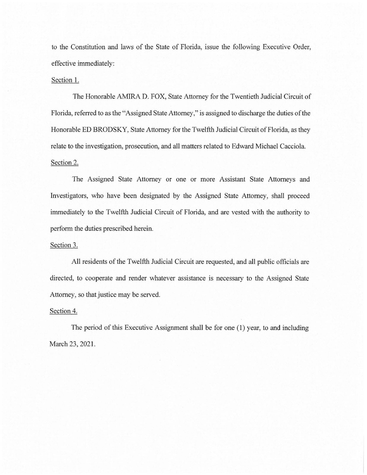to the Constitution and laws of the State of Florida, issue the following Executive Order, effective immediately:

## Section 1.

The Honorable AMIRA D. FOX, State Attorney for the Twentieth Judicial Circuit of Florida, referred to as the "Assigned State Attorney," is assigned to discharge the duties of the Honorable ED BRODSKY, State Attorney for the Twelfth Judicial Circuit of Florida, as they relate to the investigation, prosecution, and all matters related to Edward Michael Cacciola. Section 2.

The Assigned State Attorney or one or more Assistant State Attorneys and Investigators, who have been designated by the Assigned State Attorney, shall proceed immediately to the Twelfth Judicial Circuit of Florida, and are vested with the authority to perform the duties prescribed herein.

## Section 3.

All residents of the Twelfth Judicial Circuit are requested, and all public officials are directed, to cooperate and render whatever assistance is necessary to the Assigned State Attorney, so that justice may be served.

## Section 4.

The period of this Executive Assignment shall be for one (1) year, to and including March 23, 2021.